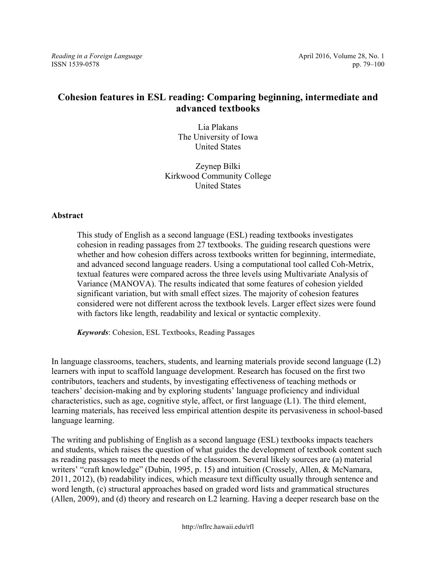*Reading in a Foreign Language* **April 2016, Volume 28, No. 1** April 2016, Volume 28, No. 1 ISSN 1539-0578 pp. 79–100

# **Cohesion features in ESL reading: Comparing beginning, intermediate and advanced textbooks**

Lia Plakans The University of Iowa United States

Zeynep Bilki Kirkwood Community College United States

# **Abstract**

This study of English as a second language (ESL) reading textbooks investigates cohesion in reading passages from 27 textbooks. The guiding research questions were whether and how cohesion differs across textbooks written for beginning, intermediate, and advanced second language readers. Using a computational tool called Coh-Metrix, textual features were compared across the three levels using Multivariate Analysis of Variance (MANOVA). The results indicated that some features of cohesion yielded significant variation, but with small effect sizes. The majority of cohesion features considered were not different across the textbook levels. Larger effect sizes were found with factors like length, readability and lexical or syntactic complexity.

*Keywords*: Cohesion, ESL Textbooks, Reading Passages

In language classrooms, teachers, students, and learning materials provide second language (L2) learners with input to scaffold language development. Research has focused on the first two contributors, teachers and students, by investigating effectiveness of teaching methods or teachers' decision-making and by exploring students' language proficiency and individual characteristics, such as age, cognitive style, affect, or first language (L1). The third element, learning materials, has received less empirical attention despite its pervasiveness in school-based language learning.

The writing and publishing of English as a second language (ESL) textbooks impacts teachers and students, which raises the question of what guides the development of textbook content such as reading passages to meet the needs of the classroom. Several likely sources are (a) material writers' "craft knowledge" (Dubin, 1995, p. 15) and intuition (Crossely, Allen, & McNamara, 2011, 2012), (b) readability indices, which measure text difficulty usually through sentence and word length, (c) structural approaches based on graded word lists and grammatical structures (Allen, 2009), and (d) theory and research on L2 learning. Having a deeper research base on the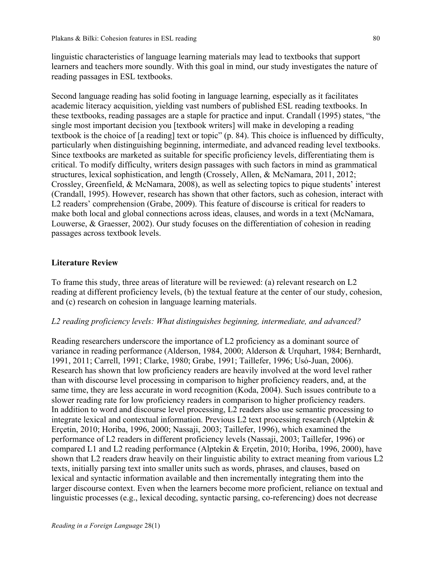linguistic characteristics of language learning materials may lead to textbooks that support learners and teachers more soundly. With this goal in mind, our study investigates the nature of reading passages in ESL textbooks.

Second language reading has solid footing in language learning, especially as it facilitates academic literacy acquisition, yielding vast numbers of published ESL reading textbooks. In these textbooks, reading passages are a staple for practice and input. Crandall (1995) states, "the single most important decision you [textbook writers] will make in developing a reading textbook is the choice of [a reading] text or topic" (p. 84). This choice is influenced by difficulty, particularly when distinguishing beginning, intermediate, and advanced reading level textbooks. Since textbooks are marketed as suitable for specific proficiency levels, differentiating them is critical. To modify difficulty, writers design passages with such factors in mind as grammatical structures, lexical sophistication, and length (Crossely, Allen, & McNamara, 2011, 2012; Crossley, Greenfield, & McNamara, 2008), as well as selecting topics to pique students' interest (Crandall, 1995). However, research has shown that other factors, such as cohesion, interact with L2 readers' comprehension (Grabe, 2009). This feature of discourse is critical for readers to make both local and global connections across ideas, clauses, and words in a text (McNamara, Louwerse, & Graesser, 2002). Our study focuses on the differentiation of cohesion in reading passages across textbook levels.

### **Literature Review**

To frame this study, three areas of literature will be reviewed: (a) relevant research on L2 reading at different proficiency levels, (b) the textual feature at the center of our study, cohesion, and (c) research on cohesion in language learning materials.

### *L2 reading proficiency levels: What distinguishes beginning, intermediate, and advanced?*

Reading researchers underscore the importance of L2 proficiency as a dominant source of variance in reading performance (Alderson, 1984, 2000; Alderson & Urquhart, 1984; Bernhardt, 1991, 2011; Carrell, 1991; Clarke, 1980; Grabe, 1991; Taillefer, 1996; Usó-Juan, 2006). Research has shown that low proficiency readers are heavily involved at the word level rather than with discourse level processing in comparison to higher proficiency readers, and, at the same time, they are less accurate in word recognition (Koda, 2004). Such issues contribute to a slower reading rate for low proficiency readers in comparison to higher proficiency readers. In addition to word and discourse level processing, L2 readers also use semantic processing to integrate lexical and contextual information. Previous L2 text processing research (Alptekin & Erçetin, 2010; Horiba, 1996, 2000; Nassaji, 2003; Taillefer, 1996), which examined the performance of L2 readers in different proficiency levels (Nassaji, 2003; Taillefer, 1996) or compared L1 and L2 reading performance (Alptekin & Erçetin, 2010; Horiba, 1996, 2000), have shown that L2 readers draw heavily on their linguistic ability to extract meaning from various L2 texts, initially parsing text into smaller units such as words, phrases, and clauses, based on lexical and syntactic information available and then incrementally integrating them into the larger discourse context. Even when the learners become more proficient, reliance on textual and linguistic processes (e.g., lexical decoding, syntactic parsing, co-referencing) does not decrease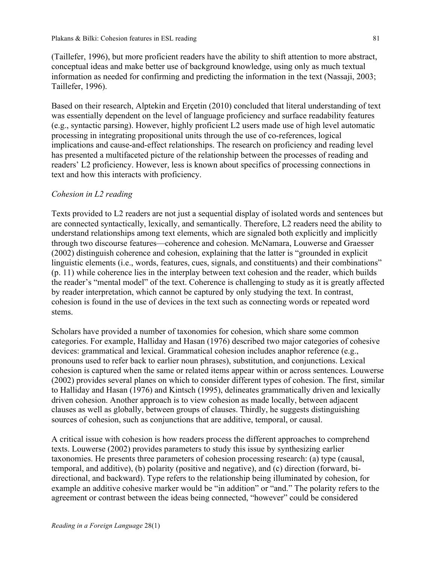(Taillefer, 1996), but more proficient readers have the ability to shift attention to more abstract, conceptual ideas and make better use of background knowledge, using only as much textual information as needed for confirming and predicting the information in the text (Nassaji, 2003; Taillefer, 1996).

Based on their research, Alptekin and Erçetin (2010) concluded that literal understanding of text was essentially dependent on the level of language proficiency and surface readability features (e.g., syntactic parsing). However, highly proficient L2 users made use of high level automatic processing in integrating propositional units through the use of co-references, logical implications and cause-and-effect relationships. The research on proficiency and reading level has presented a multifaceted picture of the relationship between the processes of reading and readers' L2 proficiency. However, less is known about specifics of processing connections in text and how this interacts with proficiency.

### *Cohesion in L2 reading*

Texts provided to L2 readers are not just a sequential display of isolated words and sentences but are connected syntactically, lexically, and semantically. Therefore, L2 readers need the ability to understand relationships among text elements, which are signaled both explicitly and implicitly through two discourse features—coherence and cohesion. McNamara, Louwerse and Graesser (2002) distinguish coherence and cohesion, explaining that the latter is "grounded in explicit linguistic elements (i.e., words, features, cues, signals, and constituents) and their combinations" (p. 11) while coherence lies in the interplay between text cohesion and the reader, which builds the reader's "mental model" of the text. Coherence is challenging to study as it is greatly affected by reader interpretation, which cannot be captured by only studying the text. In contrast, cohesion is found in the use of devices in the text such as connecting words or repeated word stems.

Scholars have provided a number of taxonomies for cohesion, which share some common categories. For example, Halliday and Hasan (1976) described two major categories of cohesive devices: grammatical and lexical. Grammatical cohesion includes anaphor reference (e.g., pronouns used to refer back to earlier noun phrases), substitution, and conjunctions. Lexical cohesion is captured when the same or related items appear within or across sentences. Louwerse (2002) provides several planes on which to consider different types of cohesion. The first, similar to Halliday and Hasan (1976) and Kintsch (1995), delineates grammatically driven and lexically driven cohesion. Another approach is to view cohesion as made locally, between adjacent clauses as well as globally, between groups of clauses. Thirdly, he suggests distinguishing sources of cohesion, such as conjunctions that are additive, temporal, or causal.

A critical issue with cohesion is how readers process the different approaches to comprehend texts. Louwerse (2002) provides parameters to study this issue by synthesizing earlier taxonomies. He presents three parameters of cohesion processing research: (a) type (causal, temporal, and additive), (b) polarity (positive and negative), and (c) direction (forward, bidirectional, and backward). Type refers to the relationship being illuminated by cohesion, for example an additive cohesive marker would be "in addition" or "and." The polarity refers to the agreement or contrast between the ideas being connected, "however" could be considered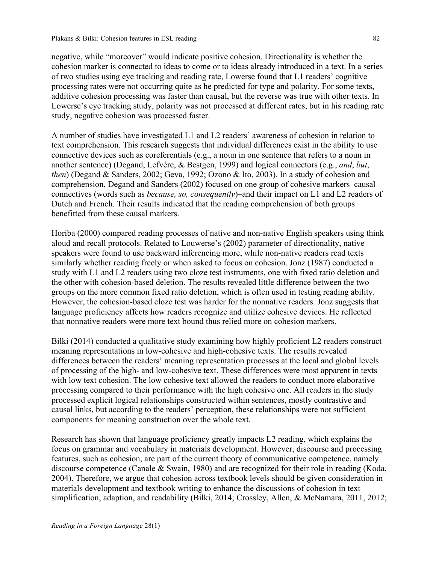negative, while "moreover" would indicate positive cohesion. Directionality is whether the cohesion marker is connected to ideas to come or to ideas already introduced in a text. In a series of two studies using eye tracking and reading rate, Lowerse found that L1 readers' cognitive processing rates were not occurring quite as he predicted for type and polarity. For some texts, additive cohesion processing was faster than causal, but the reverse was true with other texts. In Lowerse's eye tracking study, polarity was not processed at different rates, but in his reading rate study, negative cohesion was processed faster.

A number of studies have investigated L1 and L2 readers' awareness of cohesion in relation to text comprehension. This research suggests that individual differences exist in the ability to use connective devices such as coreferentials (e.g., a noun in one sentence that refers to a noun in another sentence) (Degand, Lefvére, & Bestgen, 1999) and logical connectors (e.g., *and*, *but*, *then*) (Degand & Sanders, 2002; Geva, 1992; Ozono & Ito, 2003). In a study of cohesion and comprehension, Degand and Sanders (2002) focused on one group of cohesive markers–causal connectives (words such as *because, so, consequently*)–and their impact on L1 and L2 readers of Dutch and French. Their results indicated that the reading comprehension of both groups benefitted from these causal markers.

Horiba (2000) compared reading processes of native and non-native English speakers using think aloud and recall protocols. Related to Louwerse's (2002) parameter of directionality, native speakers were found to use backward inferencing more, while non-native readers read texts similarly whether reading freely or when asked to focus on cohesion. Jonz (1987) conducted a study with L1 and L2 readers using two cloze test instruments, one with fixed ratio deletion and the other with cohesion-based deletion. The results revealed little difference between the two groups on the more common fixed ratio deletion, which is often used in testing reading ability. However, the cohesion-based cloze test was harder for the nonnative readers. Jonz suggests that language proficiency affects how readers recognize and utilize cohesive devices. He reflected that nonnative readers were more text bound thus relied more on cohesion markers.

Bilki (2014) conducted a qualitative study examining how highly proficient L2 readers construct meaning representations in low-cohesive and high-cohesive texts. The results revealed differences between the readers' meaning representation processes at the local and global levels of processing of the high- and low-cohesive text. These differences were most apparent in texts with low text cohesion. The low cohesive text allowed the readers to conduct more elaborative processing compared to their performance with the high cohesive one. All readers in the study processed explicit logical relationships constructed within sentences, mostly contrastive and causal links, but according to the readers' perception, these relationships were not sufficient components for meaning construction over the whole text.

Research has shown that language proficiency greatly impacts L2 reading, which explains the focus on grammar and vocabulary in materials development. However, discourse and processing features, such as cohesion, are part of the current theory of communicative competence, namely discourse competence (Canale & Swain, 1980) and are recognized for their role in reading (Koda, 2004). Therefore, we argue that cohesion across textbook levels should be given consideration in materials development and textbook writing to enhance the discussions of cohesion in text simplification, adaption, and readability (Bilki, 2014; Crossley, Allen, & McNamara, 2011, 2012;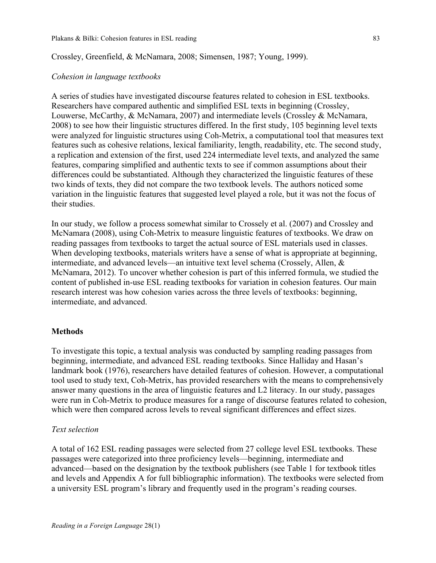### Crossley, Greenfield, & McNamara, 2008; Simensen, 1987; Young, 1999).

### *Cohesion in language textbooks*

A series of studies have investigated discourse features related to cohesion in ESL textbooks. Researchers have compared authentic and simplified ESL texts in beginning (Crossley, Louwerse, McCarthy, & McNamara, 2007) and intermediate levels (Crossley & McNamara, 2008) to see how their linguistic structures differed. In the first study, 105 beginning level texts were analyzed for linguistic structures using Coh-Metrix, a computational tool that measures text features such as cohesive relations, lexical familiarity, length, readability, etc. The second study, a replication and extension of the first, used 224 intermediate level texts, and analyzed the same features, comparing simplified and authentic texts to see if common assumptions about their differences could be substantiated. Although they characterized the linguistic features of these two kinds of texts, they did not compare the two textbook levels. The authors noticed some variation in the linguistic features that suggested level played a role, but it was not the focus of their studies.

In our study, we follow a process somewhat similar to Crossely et al. (2007) and Crossley and McNamara (2008), using Coh-Metrix to measure linguistic features of textbooks. We draw on reading passages from textbooks to target the actual source of ESL materials used in classes. When developing textbooks, materials writers have a sense of what is appropriate at beginning, intermediate, and advanced levels—an intuitive text level schema (Crossely, Allen, & McNamara, 2012). To uncover whether cohesion is part of this inferred formula, we studied the content of published in-use ESL reading textbooks for variation in cohesion features. Our main research interest was how cohesion varies across the three levels of textbooks: beginning, intermediate, and advanced.

### **Methods**

To investigate this topic, a textual analysis was conducted by sampling reading passages from beginning, intermediate, and advanced ESL reading textbooks. Since Halliday and Hasan's landmark book (1976), researchers have detailed features of cohesion. However, a computational tool used to study text, Coh-Metrix, has provided researchers with the means to comprehensively answer many questions in the area of linguistic features and L2 literacy. In our study, passages were run in Coh-Metrix to produce measures for a range of discourse features related to cohesion, which were then compared across levels to reveal significant differences and effect sizes.

### *Text selection*

A total of 162 ESL reading passages were selected from 27 college level ESL textbooks. These passages were categorized into three proficiency levels—beginning, intermediate and advanced—based on the designation by the textbook publishers (see Table 1 for textbook titles and levels and Appendix A for full bibliographic information). The textbooks were selected from a university ESL program's library and frequently used in the program's reading courses.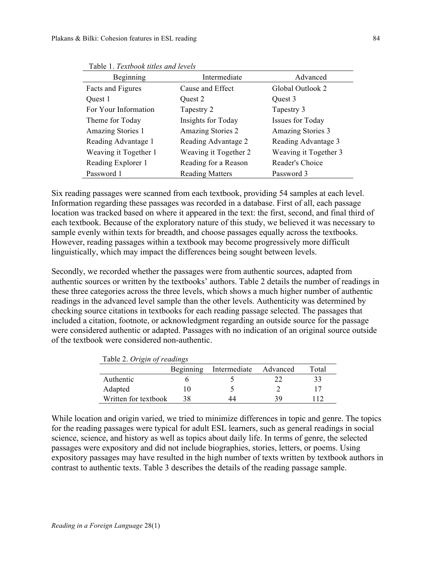| Beginning             | Intermediate             | Advanced                 |
|-----------------------|--------------------------|--------------------------|
| Facts and Figures     | Cause and Effect         | Global Outlook 2         |
| Quest 1               | Quest 2                  | Quest 3                  |
| For Your Information  | Tapestry 2               | Tapestry 3               |
| Theme for Today       | Insights for Today       | <b>Issues for Today</b>  |
| Amazing Stories 1     | <b>Amazing Stories 2</b> | <b>Amazing Stories 3</b> |
| Reading Advantage 1   | Reading Advantage 2      | Reading Advantage 3      |
| Weaving it Together 1 | Weaving it Together 2    | Weaving it Together 3    |
| Reading Explorer 1    | Reading for a Reason     | Reader's Choice          |
| Password 1            | <b>Reading Matters</b>   | Password 3               |

Table 1. *Textbook titles and levels*

Six reading passages were scanned from each textbook, providing 54 samples at each level. Information regarding these passages was recorded in a database. First of all, each passage location was tracked based on where it appeared in the text: the first, second, and final third of each textbook. Because of the exploratory nature of this study, we believed it was necessary to sample evenly within texts for breadth, and choose passages equally across the textbooks. However, reading passages within a textbook may become progressively more difficult linguistically, which may impact the differences being sought between levels.

Secondly, we recorded whether the passages were from authentic sources, adapted from authentic sources or written by the textbooks' authors. Table 2 details the number of readings in these three categories across the three levels, which shows a much higher number of authentic readings in the advanced level sample than the other levels. Authenticity was determined by checking source citations in textbooks for each reading passage selected. The passages that included a citation, footnote, or acknowledgment regarding an outside source for the passage were considered authentic or adapted. Passages with no indication of an original source outside of the textbook were considered non-authentic.

| Table 2. Origin of readings |           |              |          |       |  |
|-----------------------------|-----------|--------------|----------|-------|--|
|                             | Beginning | Intermediate | Advanced | Total |  |
| Authentic                   |           |              |          | 33    |  |
| Adapted                     | IO        |              |          |       |  |
| Written for textbook        | 38        | 44           | 39       | 112   |  |

Table 2. *Origin of readings*

While location and origin varied, we tried to minimize differences in topic and genre. The topics for the reading passages were typical for adult ESL learners, such as general readings in social science, science, and history as well as topics about daily life. In terms of genre, the selected passages were expository and did not include biographies, stories, letters, or poems. Using expository passages may have resulted in the high number of texts written by textbook authors in contrast to authentic texts. Table 3 describes the details of the reading passage sample.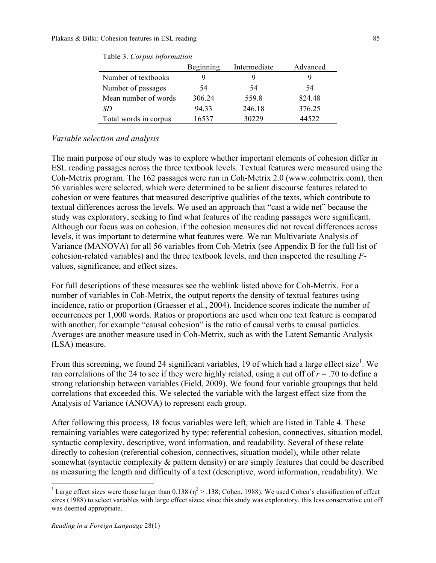|                       | Beginning | Intermediate | Advanced |
|-----------------------|-----------|--------------|----------|
| Number of textbooks   |           | 9            |          |
| Number of passages    | 54        | 54           | 54       |
| Mean number of words  | 306.24    | 559.8        | 824.48   |
| SD.                   | 94.33     | 246.18       | 376.25   |
| Total words in corpus | 16537     | 30229        | 44522    |

| Table 3. Corpus information |  |
|-----------------------------|--|
|-----------------------------|--|

### *Variable selection and analysis*

The main purpose of our study was to explore whether important elements of cohesion differ in ESL reading passages across the three textbook levels. Textual features were measured using the Coh-Metrix program. The 162 passages were run in Coh-Metrix 2.0 (www.cohmetrix.com), then 56 variables were selected, which were determined to be salient discourse features related to cohesion or were features that measured descriptive qualities of the texts, which contribute to textual differences across the levels. We used an approach that "cast a wide net" because the study was exploratory, seeking to find what features of the reading passages were significant. Although our focus was on cohesion, if the cohesion measures did not reveal differences across levels, it was important to determine what features were. We ran Multivariate Analysis of Variance (MANOVA) for all 56 variables from Coh-Metrix (see Appendix B for the full list of cohesion-related variables) and the three textbook levels, and then inspected the resulting *F*values, significance, and effect sizes.

For full descriptions of these measures see the weblink listed above for Coh-Metrix. For a number of variables in Coh-Metrix, the output reports the density of textual features using incidence, ratio or proportion (Graesser et al., 2004). Incidence scores indicate the number of occurrences per 1,000 words. Ratios or proportions are used when one text feature is compared with another, for example "causal cohesion" is the ratio of causal verbs to causal particles. Averages are another measure used in Coh-Metrix, such as with the Latent Semantic Analysis (LSA) measure.

From this screening, we found 24 significant variables, 19 of which had a large effect size<sup>1</sup>. We ran correlations of the 24 to see if they were highly related, using a cut off of *r* = .70 to define a strong relationship between variables (Field, 2009). We found four variable groupings that held correlations that exceeded this. We selected the variable with the largest effect size from the Analysis of Variance (ANOVA) to represent each group.

After following this process, 18 focus variables were left, which are listed in Table 4. These remaining variables were categorized by type: referential cohesion, connectives, situation model, syntactic complexity, descriptive, word information, and readability. Several of these relate directly to cohesion (referential cohesion, connectives, situation model), while other relate somewhat (syntactic complexity & pattern density) or are simply features that could be described as measuring the length and difficulty of a text (descriptive, word information, readability). We

<sup>&</sup>lt;sup>1</sup> Large effect sizes were those larger than 0.138 ( $\eta^2$  > .138; Cohen, 1988). We used Cohen's classification of effect sizes (1988) to select variables with large effect sizes; since this study was exploratory, this less conservative cut off was deemed appropriate.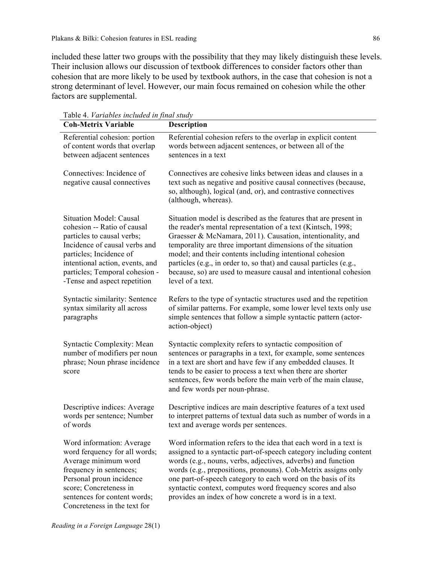included these latter two groups with the possibility that they may likely distinguish these levels. Their inclusion allows our discussion of textbook differences to consider factors other than cohesion that are more likely to be used by textbook authors, in the case that cohesion is not a strong determinant of level. However, our main focus remained on cohesion while the other factors are supplemental.

| raon +. <i>rariaones included in final staay</i><br><b>Coh-Metrix Variable</b>                                                                                                                                                                               | <b>Description</b>                                                                                                                                                                                                                                                                                                                                                                                                                                                                      |
|--------------------------------------------------------------------------------------------------------------------------------------------------------------------------------------------------------------------------------------------------------------|-----------------------------------------------------------------------------------------------------------------------------------------------------------------------------------------------------------------------------------------------------------------------------------------------------------------------------------------------------------------------------------------------------------------------------------------------------------------------------------------|
| Referential cohesion: portion<br>of content words that overlap<br>between adjacent sentences                                                                                                                                                                 | Referential cohesion refers to the overlap in explicit content<br>words between adjacent sentences, or between all of the<br>sentences in a text                                                                                                                                                                                                                                                                                                                                        |
| Connectives: Incidence of<br>negative causal connectives                                                                                                                                                                                                     | Connectives are cohesive links between ideas and clauses in a<br>text such as negative and positive causal connectives (because,<br>so, although), logical (and, or), and contrastive connectives<br>(although, whereas).                                                                                                                                                                                                                                                               |
| <b>Situation Model: Causal</b><br>cohesion -- Ratio of causal<br>particles to causal verbs;<br>Incidence of causal verbs and<br>particles; Incidence of<br>intentional action, events, and<br>particles; Temporal cohesion -<br>-Tense and aspect repetition | Situation model is described as the features that are present in<br>the reader's mental representation of a text (Kintsch, 1998;<br>Graesser & McNamara, 2011). Causation, intentionality, and<br>temporality are three important dimensions of the situation<br>model; and their contents including intentional cohesion<br>particles (e.g., in order to, so that) and causal particles (e.g.,<br>because, so) are used to measure causal and intentional cohesion<br>level of a text. |
| Syntactic similarity: Sentence<br>syntax similarity all across<br>paragraphs                                                                                                                                                                                 | Refers to the type of syntactic structures used and the repetition<br>of similar patterns. For example, some lower level texts only use<br>simple sentences that follow a simple syntactic pattern (actor-<br>action-object)                                                                                                                                                                                                                                                            |
| <b>Syntactic Complexity: Mean</b><br>number of modifiers per noun<br>phrase; Noun phrase incidence<br>score                                                                                                                                                  | Syntactic complexity refers to syntactic composition of<br>sentences or paragraphs in a text, for example, some sentences<br>in a text are short and have few if any embedded clauses. It<br>tends to be easier to process a text when there are shorter<br>sentences, few words before the main verb of the main clause,<br>and few words per noun-phrase.                                                                                                                             |
| Descriptive indices: Average<br>words per sentence; Number<br>of words                                                                                                                                                                                       | Descriptive indices are main descriptive features of a text used<br>to interpret patterns of textual data such as number of words in a<br>text and average words per sentences.                                                                                                                                                                                                                                                                                                         |
| Word information: Average<br>word ferquency for all words;<br>Average minimum word<br>frequency in sentences;<br>Personal proun incidence<br>score; Concreteness in<br>sentences for content words;<br>Concreteness in the text for                          | Word information refers to the idea that each word in a text is<br>assigned to a syntactic part-of-speech category including content<br>words (e.g., nouns, verbs, adjectives, adverbs) and function<br>words (e.g., prepositions, pronouns). Coh-Metrix assigns only<br>one part-of-speech category to each word on the basis of its<br>syntactic context, computes word frequency scores and also<br>provides an index of how concrete a word is in a text.                           |

Table 4. *Variables included in final study*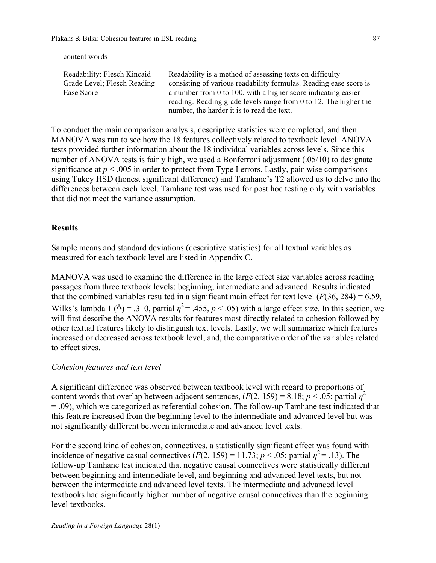content words

| Readability: Flesch Kincaid | Readability is a method of assessing texts on difficulty          |
|-----------------------------|-------------------------------------------------------------------|
| Grade Level; Flesch Reading | consisting of various readability formulas. Reading ease score is |
| Ease Score                  | a number from 0 to 100, with a higher score indicating easier     |
|                             | reading. Reading grade levels range from 0 to 12. The higher the  |
|                             | number, the harder it is to read the text.                        |

To conduct the main comparison analysis, descriptive statistics were completed, and then MANOVA was run to see how the 18 features collectively related to textbook level. ANOVA tests provided further information about the 18 individual variables across levels. Since this number of ANOVA tests is fairly high, we used a Bonferroni adjustment (.05/10) to designate significance at  $p < .005$  in order to protect from Type I errors. Lastly, pair-wise comparisons using Tukey HSD (honest significant difference) and Tamhane's T2 allowed us to delve into the differences between each level. Tamhane test was used for post hoc testing only with variables that did not meet the variance assumption.

# **Results**

Sample means and standard deviations (descriptive statistics) for all textual variables as measured for each textbook level are listed in Appendix C.

MANOVA was used to examine the difference in the large effect size variables across reading passages from three textbook levels: beginning, intermediate and advanced. Results indicated that the combined variables resulted in a significant main effect for text level  $(F(36, 284) = 6.59,$ Wilks's lambda 1 ( $\sqrt{ }$ ) = .310, partial  $\eta^2$  = .455,  $p < .05$ ) with a large effect size. In this section, we will first describe the ANOVA results for features most directly related to cohesion followed by other textual features likely to distinguish text levels. Lastly, we will summarize which features increased or decreased across textbook level, and, the comparative order of the variables related to effect sizes.

### *Cohesion features and text level*

A significant difference was observed between textbook level with regard to proportions of content words that overlap between adjacent sentences,  $(F(2, 159) = 8.18; p < .05;$  partial  $\eta^2$ = .09), which we categorized as referential cohesion. The follow-up Tamhane test indicated that this feature increased from the beginning level to the intermediate and advanced level but was not significantly different between intermediate and advanced level texts.

For the second kind of cohesion, connectives, a statistically significant effect was found with incidence of negative casual connectives  $(F(2, 159) = 11.73; p < .05$ ; partial  $p^2 = .13$ ). The follow-up Tamhane test indicated that negative causal connectives were statistically different between beginning and intermediate level, and beginning and advanced level texts, but not between the intermediate and advanced level texts. The intermediate and advanced level textbooks had significantly higher number of negative causal connectives than the beginning level textbooks.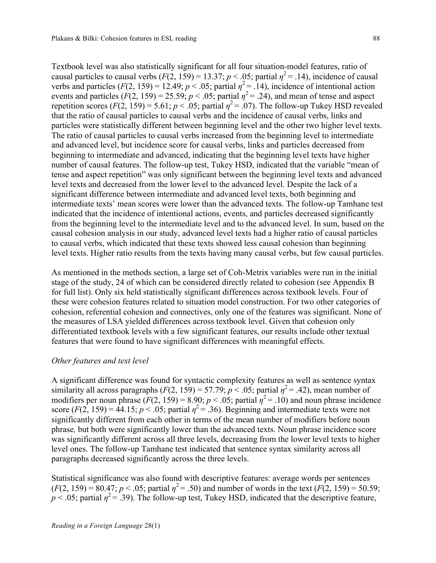Textbook level was also statistically significant for all four situation-model features, ratio of causal particles to causal verbs  $(F(2, 159) = 13.37; p < .05;$  partial  $\eta^2 = .14$ ), incidence of causal verbs and particles  $(F(2, 159) = 12.49; p < .05;$  partial  $\eta^2 = .14$ ), incidence of intentional action events and particles  $(F(2, 159) = 25.59; p < .05;$  partial  $\eta^2 = .24$ ), and mean of tense and aspect repetition scores  $(F(2, 159) = 5.61; p < .05;$  partial  $\eta^2 = .07$ ). The follow-up Tukey HSD revealed that the ratio of causal particles to causal verbs and the incidence of causal verbs, links and particles were statistically different between beginning level and the other two higher level texts. The ratio of causal particles to causal verbs increased from the beginning level to intermediate and advanced level, but incidence score for causal verbs, links and particles decreased from beginning to intermediate and advanced, indicating that the beginning level texts have higher number of causal features. The follow-up test, Tukey HSD, indicated that the variable "mean of tense and aspect repetition" was only significant between the beginning level texts and advanced level texts and decreased from the lower level to the advanced level. Despite the lack of a significant difference between intermediate and advanced level texts, both beginning and intermediate texts' mean scores were lower than the advanced texts. The follow-up Tamhane test indicated that the incidence of intentional actions, events, and particles decreased significantly from the beginning level to the intermediate level and to the advanced level. In sum, based on the causal cohesion analysis in our study, advanced level texts had a higher ratio of causal particles to causal verbs, which indicated that these texts showed less causal cohesion than beginning level texts. Higher ratio results from the texts having many causal verbs, but few causal particles.

As mentioned in the methods section, a large set of Coh-Metrix variables were run in the initial stage of the study, 24 of which can be considered directly related to cohesion (see Appendix B for full list). Only six held statistically significant differences across textbook levels. Four of these were cohesion features related to situation model construction. For two other categories of cohesion, referential cohesion and connectives, only one of the features was significant. None of the measures of LSA yielded differences across textbook level. Given that cohesion only differentiated textbook levels with a few significant features, our results include other textual features that were found to have significant differences with meaningful effects.

### *Other features and text level*

A significant difference was found for syntactic complexity features as well as sentence syntax similarity all across paragraphs  $(F(2, 159) = 57.79; p < .05;$  partial  $\eta^2 = .42$ ), mean number of modifiers per noun phrase  $(F(2, 159) = 8.90; p < .05;$  partial  $\eta^2 = .10$ ) and noun phrase incidence score  $(F(2, 159) = 44.15$ ;  $p < .05$ ; partial  $p^2 = .36$ ). Beginning and intermediate texts were not significantly different from each other in terms of the mean number of modifiers before noun phrase*,* but both were significantly lower than the advanced texts. Noun phrase incidence score was significantly different across all three levels, decreasing from the lower level texts to higher level ones. The follow-up Tamhane test indicated that sentence syntax similarity across all paragraphs decreased significantly across the three levels.

Statistical significance was also found with descriptive features: average words per sentences  $(F(2, 159) = 80.47; p < .05;$  partial  $\eta^2 = .50$ ) and number of words in the text  $(F(2, 159) = 50.59;$  $p < .05$ ; partial  $\eta^2 = .39$ ). The follow-up test, Tukey HSD, indicated that the descriptive feature,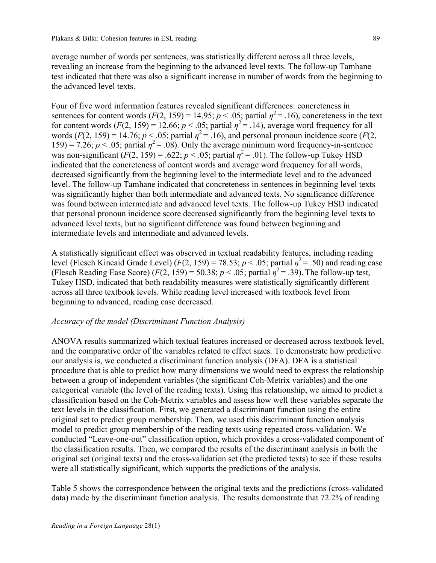average number of words per sentences, was statistically different across all three levels, revealing an increase from the beginning to the advanced level texts. The follow-up Tamhane test indicated that there was also a significant increase in number of words from the beginning to the advanced level texts.

Four of five word information features revealed significant differences: concreteness in sentences for content words  $(F(2, 159) = 14.95; p < .05;$  partial  $\eta^2 = .16$ ), concreteness in the text for content words  $(F(2, 159) = 12.66; p < .05;$  partial  $\eta^2 = .14$ ), average word frequency for all words  $(F(2, 159) = 14.76$ ;  $p < .05$ ; partial  $\eta^2 = .16$ ), and personal pronoun incidence score  $(F(2, 159))$ 159) = 7.26;  $p < .05$ ; partial  $\eta^2 = .08$ ). Only the average minimum word frequency-in-sentence was non-significant  $(F(2, 159) = .622; p < .05;$  partial  $\eta^2 = .01$ ). The follow-up Tukey HSD indicated that the concreteness of content words and average word frequency for all words, decreased significantly from the beginning level to the intermediate level and to the advanced level. The follow-up Tamhane indicated that concreteness in sentences in beginning level texts was significantly higher than both intermediate and advanced texts. No significance difference was found between intermediate and advanced level texts. The follow-up Tukey HSD indicated that personal pronoun incidence score decreased significantly from the beginning level texts to advanced level texts, but no significant difference was found between beginning and intermediate levels and intermediate and advanced levels.

A statistically significant effect was observed in textual readability features, including reading level (Flesch Kincaid Grade Level) ( $F(2, 159) = 78.53$ ;  $p < .05$ ; partial  $\eta^2 = .50$ ) and reading ease (Flesch Reading Ease Score)  $(F(2, 159) = 50.38; p < .05;$  partial  $n^2 = .39$ ). The follow-up test, Tukey HSD, indicated that both readability measures were statistically significantly different across all three textbook levels. While reading level increased with textbook level from beginning to advanced, reading ease decreased.

### *Accuracy of the model (Discriminant Function Analysis)*

ANOVA results summarized which textual features increased or decreased across textbook level, and the comparative order of the variables related to effect sizes. To demonstrate how predictive our analysis is, we conducted a discriminant function analysis (DFA). DFA is a statistical procedure that is able to predict how many dimensions we would need to express the relationship between a group of independent variables (the significant Coh-Metrix variables) and the one categorical variable (the level of the reading texts). Using this relationship, we aimed to predict a classification based on the Coh-Metrix variables and assess how well these variables separate the text levels in the classification. First, we generated a discriminant function using the entire original set to predict group membership. Then, we used this discriminant function analysis model to predict group membership of the reading texts using repeated cross-validation. We conducted "Leave-one-out" classification option, which provides a cross-validated component of the classification results. Then, we compared the results of the discriminant analysis in both the original set (original texts) and the cross-validation set (the predicted texts) to see if these results were all statistically significant, which supports the predictions of the analysis.

Table 5 shows the correspondence between the original texts and the predictions (cross-validated data) made by the discriminant function analysis. The results demonstrate that 72.2% of reading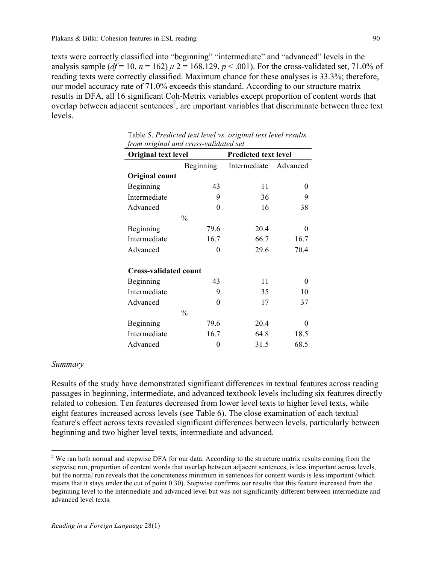texts were correctly classified into "beginning" "intermediate" and "advanced" levels in the analysis sample  $(df=10, n=162) \mu 2 = 168.129, p < .001$ ). For the cross-validated set, 71.0% of reading texts were correctly classified. Maximum chance for these analyses is 33.3%; therefore, our model accuracy rate of 71.0% exceeds this standard. According to our structure matrix results in DFA, all 16 significant Coh-Metrix variables except proportion of content words that overlap between adjacent sentences<sup>2</sup>, are important variables that discriminate between three text levels.

| <i>from original and cross-valuation set</i> |               |                             |          |  |  |
|----------------------------------------------|---------------|-----------------------------|----------|--|--|
| Original text level                          |               | <b>Predicted text level</b> |          |  |  |
|                                              | Beginning     | Intermediate Advanced       |          |  |  |
| Original count                               |               |                             |          |  |  |
| Beginning                                    | 43            | 11                          | 0        |  |  |
| Intermediate                                 | 9             | 36                          | 9        |  |  |
| Advanced                                     | $\theta$      | 16                          | 38       |  |  |
|                                              | $\frac{0}{0}$ |                             |          |  |  |
| Beginning                                    | 79.6          | 20.4                        | $\theta$ |  |  |
| Intermediate                                 | 16.7          | 66.7                        | 16.7     |  |  |
| Advanced                                     | 0             | 29.6                        | 70.4     |  |  |
| <b>Cross-validated count</b>                 |               |                             |          |  |  |
| Beginning                                    | 43            | 11                          | 0        |  |  |
| Intermediate                                 | 9             | 35                          | 10       |  |  |
| Advanced                                     | 0             | 17                          | 37       |  |  |
|                                              | $\frac{0}{0}$ |                             |          |  |  |
| Beginning                                    | 79.6          | 20.4                        | $\theta$ |  |  |
| Intermediate                                 | 16.7          | 64.8                        | 18.5     |  |  |
| Advanced                                     | 0             | 31.5                        | 68.5     |  |  |

 Table 5. *Predicted text level vs. original text level results from original and cross-validated set*

### *Summary*

Results of the study have demonstrated significant differences in textual features across reading passages in beginning, intermediate, and advanced textbook levels including six features directly related to cohesion. Ten features decreased from lower level texts to higher level texts, while eight features increased across levels (see Table 6). The close examination of each textual feature's effect across texts revealed significant differences between levels, particularly between beginning and two higher level texts, intermediate and advanced.

<sup>&</sup>lt;sup>2</sup> We ran both normal and stepwise DFA for our data. According to the structure matrix results coming from the stepwise run, proportion of content words that overlap between adjacent sentences, is less important across levels, but the normal run reveals that the concreteness minimum in sentences for content words is less important (which means that it stays under the cut of point 0.30). Stepwise confirms our results that this feature increased from the beginning level to the intermediate and advanced level but was not significantly different between intermediate and advanced level texts.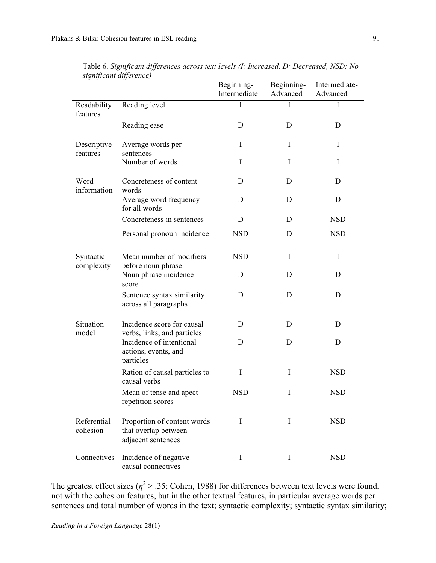| signijicam aijjerence)  |                                                                           | Beginning-<br>Intermediate | Beginning-<br>Advanced | Intermediate-<br>Advanced |
|-------------------------|---------------------------------------------------------------------------|----------------------------|------------------------|---------------------------|
| Readability<br>features | Reading level                                                             | I                          | I                      | I                         |
|                         | Reading ease                                                              | D                          | D                      | D                         |
| Descriptive<br>features | Average words per<br>sentences                                            | I                          | I                      | I                         |
|                         | Number of words                                                           | I                          | I                      | I                         |
| Word<br>information     | Concreteness of content<br>words                                          | D                          | D                      | D                         |
|                         | Average word frequency<br>for all words                                   | D                          | D                      | D                         |
|                         | Concreteness in sentences                                                 | D                          | D                      | <b>NSD</b>                |
|                         | Personal pronoun incidence                                                | <b>NSD</b>                 | D                      | <b>NSD</b>                |
| Syntactic<br>complexity | Mean number of modifiers<br>before noun phrase                            | <b>NSD</b>                 | I                      | I                         |
|                         | Noun phrase incidence<br>score                                            | D                          | D                      | D                         |
|                         | Sentence syntax similarity<br>across all paragraphs                       | D                          | D                      | D                         |
| Situation<br>model      | Incidence score for causal<br>verbs, links, and particles                 | D                          | D                      | D                         |
|                         | Incidence of intentional<br>actions, events, and<br>particles             | D                          | D                      | D                         |
|                         | Ration of causal particles to<br>causal verbs                             | I                          | I                      | <b>NSD</b>                |
|                         | Mean of tense and apect<br>repetition scores                              | <b>NSD</b>                 | I                      | <b>NSD</b>                |
| Referential<br>cohesion | Proportion of content words<br>that overlap between<br>adjacent sentences | $\bf{I}$                   | $\mathbf I$            | <b>NSD</b>                |
| Connectives             | Incidence of negative<br>causal connectives                               | I                          | $\bf{I}$               | <b>NSD</b>                |

 Table 6. *Significant differences across text levels (I: Increased, D: Decreased, NSD: No significant difference)*

The greatest effect sizes ( $\eta^2$  > .35; Cohen, 1988) for differences between text levels were found, not with the cohesion features, but in the other textual features, in particular average words per sentences and total number of words in the text; syntactic complexity; syntactic syntax similarity;

*Reading in a Foreign Language* 28(1)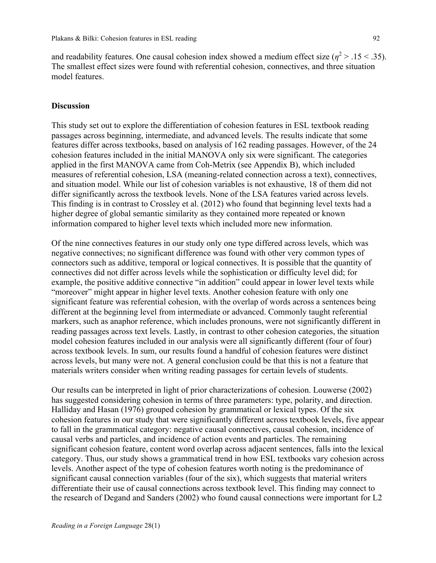and readability features. One causal cohesion index showed a medium effect size  $(\eta^2 > 0.15 < 0.35)$ . The smallest effect sizes were found with referential cohesion, connectives, and three situation model features.

### **Discussion**

This study set out to explore the differentiation of cohesion features in ESL textbook reading passages across beginning, intermediate, and advanced levels. The results indicate that some features differ across textbooks, based on analysis of 162 reading passages. However, of the 24 cohesion features included in the initial MANOVA only six were significant. The categories applied in the first MANOVA came from Coh-Metrix (see Appendix B), which included measures of referential cohesion, LSA (meaning-related connection across a text), connectives, and situation model. While our list of cohesion variables is not exhaustive, 18 of them did not differ significantly across the textbook levels. None of the LSA features varied across levels. This finding is in contrast to Crossley et al. (2012) who found that beginning level texts had a higher degree of global semantic similarity as they contained more repeated or known information compared to higher level texts which included more new information.

Of the nine connectives features in our study only one type differed across levels, which was negative connectives; no significant difference was found with other very common types of connectors such as additive, temporal or logical connectives. It is possible that the quantity of connectives did not differ across levels while the sophistication or difficulty level did; for example, the positive additive connective "in addition" could appear in lower level texts while "moreover" might appear in higher level texts. Another cohesion feature with only one significant feature was referential cohesion, with the overlap of words across a sentences being different at the beginning level from intermediate or advanced. Commonly taught referential markers, such as anaphor reference, which includes pronouns, were not significantly different in reading passages across text levels. Lastly, in contrast to other cohesion categories, the situation model cohesion features included in our analysis were all significantly different (four of four) across textbook levels. In sum, our results found a handful of cohesion features were distinct across levels, but many were not. A general conclusion could be that this is not a feature that materials writers consider when writing reading passages for certain levels of students.

Our results can be interpreted in light of prior characterizations of cohesion. Louwerse (2002) has suggested considering cohesion in terms of three parameters: type, polarity, and direction. Halliday and Hasan (1976) grouped cohesion by grammatical or lexical types. Of the six cohesion features in our study that were significantly different across textbook levels, five appear to fall in the grammatical category: negative causal connectives, causal cohesion, incidence of causal verbs and particles, and incidence of action events and particles. The remaining significant cohesion feature, content word overlap across adjacent sentences, falls into the lexical category. Thus, our study shows a grammatical trend in how ESL textbooks vary cohesion across levels. Another aspect of the type of cohesion features worth noting is the predominance of significant causal connection variables (four of the six), which suggests that material writers differentiate their use of causal connections across textbook level. This finding may connect to the research of Degand and Sanders (2002) who found causal connections were important for L2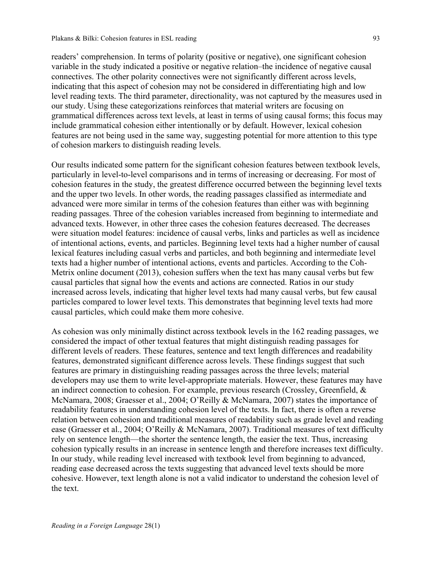readers' comprehension. In terms of polarity (positive or negative), one significant cohesion variable in the study indicated a positive or negative relation–the incidence of negative causal connectives. The other polarity connectives were not significantly different across levels, indicating that this aspect of cohesion may not be considered in differentiating high and low level reading texts. The third parameter, directionality, was not captured by the measures used in our study. Using these categorizations reinforces that material writers are focusing on grammatical differences across text levels, at least in terms of using causal forms; this focus may include grammatical cohesion either intentionally or by default. However, lexical cohesion features are not being used in the same way, suggesting potential for more attention to this type of cohesion markers to distinguish reading levels.

Our results indicated some pattern for the significant cohesion features between textbook levels, particularly in level-to-level comparisons and in terms of increasing or decreasing. For most of cohesion features in the study, the greatest difference occurred between the beginning level texts and the upper two levels. In other words, the reading passages classified as intermediate and advanced were more similar in terms of the cohesion features than either was with beginning reading passages. Three of the cohesion variables increased from beginning to intermediate and advanced texts. However, in other three cases the cohesion features decreased. The decreases were situation model features: incidence of causal verbs, links and particles as well as incidence of intentional actions, events, and particles. Beginning level texts had a higher number of causal lexical features including casual verbs and particles, and both beginning and intermediate level texts had a higher number of intentional actions, events and particles. According to the Coh-Metrix online document (2013), cohesion suffers when the text has many causal verbs but few causal particles that signal how the events and actions are connected. Ratios in our study increased across levels, indicating that higher level texts had many causal verbs, but few causal particles compared to lower level texts. This demonstrates that beginning level texts had more causal particles, which could make them more cohesive.

As cohesion was only minimally distinct across textbook levels in the 162 reading passages, we considered the impact of other textual features that might distinguish reading passages for different levels of readers. These features, sentence and text length differences and readability features, demonstrated significant difference across levels. These findings suggest that such features are primary in distinguishing reading passages across the three levels; material developers may use them to write level-appropriate materials. However, these features may have an indirect connection to cohesion. For example, previous research (Crossley, Greenfield, & McNamara, 2008; Graesser et al., 2004; O'Reilly & McNamara, 2007) states the importance of readability features in understanding cohesion level of the texts. In fact, there is often a reverse relation between cohesion and traditional measures of readability such as grade level and reading ease (Graesser et al., 2004; O'Reilly & McNamara, 2007). Traditional measures of text difficulty rely on sentence length—the shorter the sentence length, the easier the text. Thus, increasing cohesion typically results in an increase in sentence length and therefore increases text difficulty. In our study, while reading level increased with textbook level from beginning to advanced, reading ease decreased across the texts suggesting that advanced level texts should be more cohesive. However, text length alone is not a valid indicator to understand the cohesion level of the text.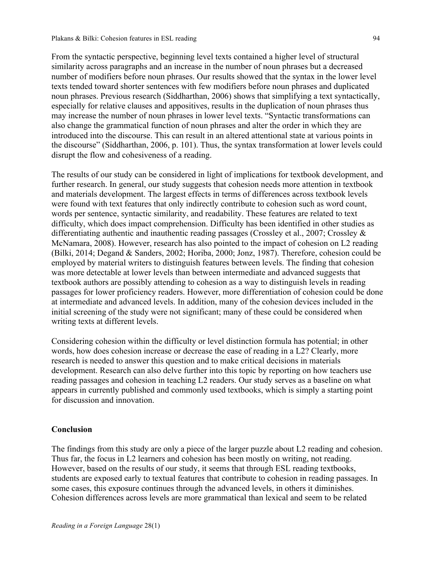From the syntactic perspective, beginning level texts contained a higher level of structural similarity across paragraphs and an increase in the number of noun phrases but a decreased number of modifiers before noun phrases. Our results showed that the syntax in the lower level texts tended toward shorter sentences with few modifiers before noun phrases and duplicated noun phrases. Previous research (Siddharthan, 2006) shows that simplifying a text syntactically, especially for relative clauses and appositives, results in the duplication of noun phrases thus may increase the number of noun phrases in lower level texts. "Syntactic transformations can also change the grammatical function of noun phrases and alter the order in which they are introduced into the discourse. This can result in an altered attentional state at various points in the discourse" (Siddharthan, 2006, p. 101). Thus, the syntax transformation at lower levels could disrupt the flow and cohesiveness of a reading.

The results of our study can be considered in light of implications for textbook development, and further research. In general, our study suggests that cohesion needs more attention in textbook and materials development. The largest effects in terms of differences across textbook levels were found with text features that only indirectly contribute to cohesion such as word count, words per sentence, syntactic similarity, and readability. These features are related to text difficulty, which does impact comprehension. Difficulty has been identified in other studies as differentiating authentic and inauthentic reading passages (Crossley et al., 2007; Crossley & McNamara, 2008). However, research has also pointed to the impact of cohesion on L2 reading (Bilki, 2014; Degand & Sanders, 2002; Horiba, 2000; Jonz, 1987). Therefore, cohesion could be employed by material writers to distinguish features between levels. The finding that cohesion was more detectable at lower levels than between intermediate and advanced suggests that textbook authors are possibly attending to cohesion as a way to distinguish levels in reading passages for lower proficiency readers. However, more differentiation of cohesion could be done at intermediate and advanced levels. In addition, many of the cohesion devices included in the initial screening of the study were not significant; many of these could be considered when writing texts at different levels.

Considering cohesion within the difficulty or level distinction formula has potential; in other words, how does cohesion increase or decrease the ease of reading in a L2? Clearly, more research is needed to answer this question and to make critical decisions in materials development. Research can also delve further into this topic by reporting on how teachers use reading passages and cohesion in teaching L2 readers. Our study serves as a baseline on what appears in currently published and commonly used textbooks, which is simply a starting point for discussion and innovation.

#### **Conclusion**

The findings from this study are only a piece of the larger puzzle about L2 reading and cohesion. Thus far, the focus in L2 learners and cohesion has been mostly on writing, not reading. However, based on the results of our study, it seems that through ESL reading textbooks, students are exposed early to textual features that contribute to cohesion in reading passages. In some cases, this exposure continues through the advanced levels, in others it diminishes. Cohesion differences across levels are more grammatical than lexical and seem to be related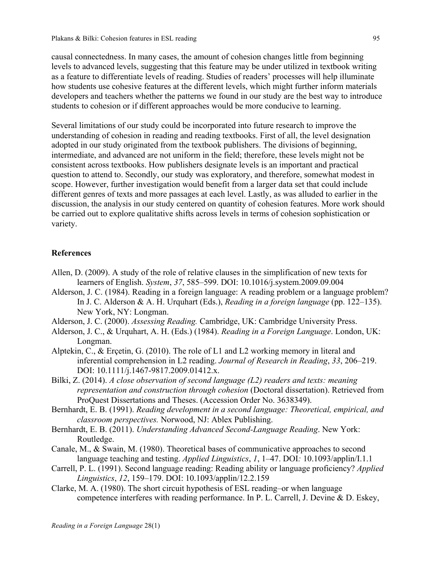causal connectedness. In many cases, the amount of cohesion changes little from beginning levels to advanced levels, suggesting that this feature may be under utilized in textbook writing as a feature to differentiate levels of reading. Studies of readers' processes will help illuminate how students use cohesive features at the different levels, which might further inform materials developers and teachers whether the patterns we found in our study are the best way to introduce students to cohesion or if different approaches would be more conducive to learning.

Several limitations of our study could be incorporated into future research to improve the understanding of cohesion in reading and reading textbooks. First of all, the level designation adopted in our study originated from the textbook publishers. The divisions of beginning, intermediate, and advanced are not uniform in the field; therefore, these levels might not be consistent across textbooks. How publishers designate levels is an important and practical question to attend to. Secondly, our study was exploratory, and therefore, somewhat modest in scope. However, further investigation would benefit from a larger data set that could include different genres of texts and more passages at each level. Lastly, as was alluded to earlier in the discussion, the analysis in our study centered on quantity of cohesion features. More work should be carried out to explore qualitative shifts across levels in terms of cohesion sophistication or variety.

### **References**

- Allen, D. (2009). A study of the role of relative clauses in the simplification of new texts for learners of English. *System*, *37*, 585–599. DOI: 10.1016/j.system.2009.09.004
- Alderson, J. C. (1984). Reading in a foreign language: A reading problem or a language problem? In J. C. Alderson & A. H. Urquhart (Eds.), *Reading in a foreign language* (pp. 122–135). New York, NY: Longman.
- Alderson, J. C. (2000). *Assessing Reading.* Cambridge, UK: Cambridge University Press.
- Alderson, J. C., & Urquhart, A. H. (Eds.) (1984). *Reading in a Foreign Language*. London, UK: Longman.
- Alptekin, C., & Erçetin, G. (2010). The role of L1 and L2 working memory in literal and inferential comprehension in L2 reading. *Journal of Research in Reading*, *33*, 206–219. DOI: 10.1111/j.1467-9817.2009.01412.x.
- Bilki, Z. (2014). *A close observation of second language (L2) readers and texts: meaning representation and construction through cohesion* (Doctoral dissertation). Retrieved from ProQuest Dissertations and Theses. (Accession Order No. 3638349).
- Bernhardt, E. B. (1991). *Reading development in a second language: Theoretical, empirical, and classroom perspectives.* Norwood, NJ: Ablex Publishing.
- Bernhardt, E. B. (2011). *Understanding Advanced Second-Language Reading*. New York: Routledge.
- Canale, M., & Swain, M. (1980). Theoretical bases of communicative approaches to second language teaching and testing. *Applied Linguistics*, *1*, 1–47. DOI*:* 10.1093/applin/I.1.1
- Carrell, P. L. (1991). Second language reading: Reading ability or language proficiency? *Applied Linguistics*, *12*, 159–179. DOI: 10.1093/applin/12.2.159
- Clarke, M. A. (1980). The short circuit hypothesis of ESL reading–or when language competence interferes with reading performance. In P. L. Carrell, J. Devine & D. Eskey,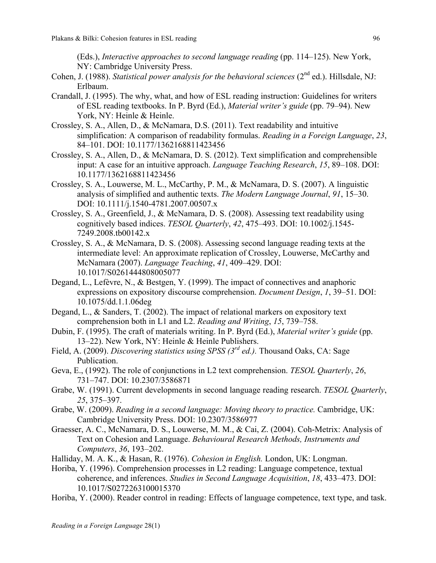(Eds.), *Interactive approaches to second language reading* (pp. 114–125). New York, NY: Cambridge University Press.

- Cohen, J. (1988). *Statistical power analysis for the behavioral sciences* (2<sup>nd</sup> ed.). Hillsdale, NJ: Erlbaum.
- Crandall, J. (1995). The why, what, and how of ESL reading instruction: Guidelines for writers of ESL reading textbooks. In P. Byrd (Ed.), *Material writer's guide* (pp. 79–94). New York, NY: Heinle & Heinle.
- Crossley, S. A., Allen, D., & McNamara, D.S. (2011). Text readability and intuitive simplification: A comparison of readability formulas. *Reading in a Foreign Language*, *23*, 84–101. DOI: 10.1177/1362168811423456
- Crossley, S. A., Allen, D., & McNamara, D. S. (2012). Text simplification and comprehensible input: A case for an intuitive approach. *Language Teaching Research*, *15*, 89–108. DOI: 10.1177/1362168811423456
- Crossley, S. A., Louwerse, M. L., McCarthy, P. M., & McNamara, D. S. (2007). A linguistic analysis of simplified and authentic texts. *The Modern Language Journal*, *91*, 15–30. DOI: 10.1111/j.1540-4781.2007.00507.x
- Crossley, S. A., Greenfield, J., & McNamara, D. S. (2008). Assessing text readability using cognitively based indices. *TESOL Quarterly*, *42*, 475–493. DOI: 10.1002/j.1545- 7249.2008.tb00142.x
- Crossley, S. A., & McNamara, D. S. (2008). Assessing second language reading texts at the intermediate level: An approximate replication of Crossley, Louwerse, McCarthy and McNamara (2007). *Language Teaching*, *41*, 409–429. DOI: 10.1017/S0261444808005077
- Degand, L., Lefèvre, N., & Bestgen, Y. (1999). The impact of connectives and anaphoric expressions on expository discourse comprehension. *Document Design*, *1*, 39–51. DOI: 10.1075/dd.1.1.06deg
- Degand, L., & Sanders, T. (2002). The impact of relational markers on expository text comprehension both in L1 and L2. *Reading and Writing*, *15*, 739–758.
- Dubin, F. (1995). The craft of materials writing. In P. Byrd (Ed.), *Material writer's guide* (pp. 13–22). New York, NY: Heinle & Heinle Publishers.
- Field, A. (2009). *Discovering statistics using SPSS (3rd ed.).* Thousand Oaks, CA: Sage Publication.
- Geva, E., (1992). The role of conjunctions in L2 text comprehension. *TESOL Quarterly*, *26*, 731–747. DOI: 10.2307/3586871
- Grabe, W. (1991). Current developments in second language reading research. *TESOL Quarterly*, *25*, 375–397.
- Grabe, W. (2009). *Reading in a second language: Moving theory to practice.* Cambridge, UK: Cambridge University Press. DOI: 10.2307/3586977
- Graesser, A. C., McNamara, D. S., Louwerse, M. M., & Cai, Z. (2004). Coh-Metrix: Analysis of Text on Cohesion and Language. *Behavioural Research Methods, Instruments and Computers*, *36*, 193–202.
- Halliday, M. A. K., & Hasan, R. (1976). *Cohesion in English.* London, UK: Longman.
- Horiba, Y. (1996). Comprehension processes in L2 reading: Language competence, textual coherence, and inferences. *Studies in Second Language Acquisition*, *18*, 433–473. DOI: 10.1017/S0272263100015370
- Horiba, Y. (2000). Reader control in reading: Effects of language competence, text type, and task.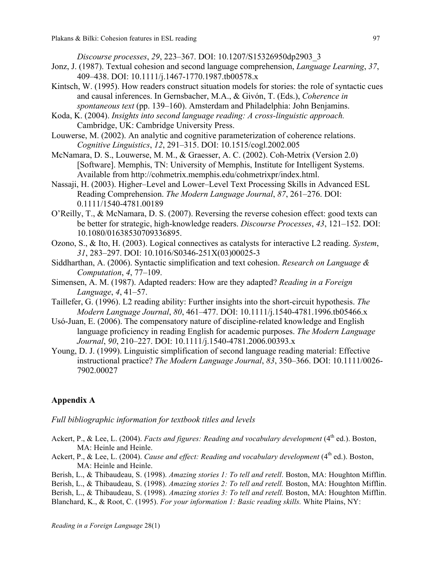*Discourse processes*, *29*, 223–367. DOI: 10.1207/S15326950dp2903\_3

- Jonz, J. (1987). Textual cohesion and second language comprehension, *Language Learning*, *37*, 409–438. DOI: 10.1111/j.1467-1770.1987.tb00578.x
- Kintsch, W. (1995). How readers construct situation models for stories: the role of syntactic cues and causal inferences. In Gernsbacher, M.A., & Givón, T. (Eds.), *Coherence in spontaneous text* (pp. 139–160). Amsterdam and Philadelphia: John Benjamins.
- Koda, K. (2004). *Insights into second language reading: A cross-linguistic approach.*  Cambridge, UK: Cambridge University Press.
- Louwerse, M. (2002). An analytic and cognitive parameterization of coherence relations. *Cognitive Linguistics*, *12*, 291–315. DOI: 10.1515/cogl.2002.005
- McNamara, D. S., Louwerse, M. M., & Graesser, A. C. (2002). Coh-Metrix (Version 2.0) [Software]. Memphis, TN: University of Memphis, Institute for Intelligent Systems. Available from http://cohmetrix.memphis.edu/cohmetrixpr/index.html.
- Nassaji, H. (2003). Higher–Level and Lower–Level Text Processing Skills in Advanced ESL Reading Comprehension. *The Modern Language Journal*, *87*, 261–276. DOI: 0.1111/1540-4781.00189
- O'Reilly, T., & McNamara, D. S. (2007). Reversing the reverse cohesion effect: good texts can be better for strategic, high-knowledge readers. *Discourse Processes*, *43*, 121–152. DOI: 10.1080/01638530709336895.
- Ozono, S., & Ito, H. (2003). Logical connectives as catalysts for interactive L2 reading. *System*, *31*, 283–297. DOI: 10.1016/S0346-251X(03)00025-3
- Siddharthan, A. (2006). Syntactic simplification and text cohesion. *Research on Language & Computation*, *4*, 77–109.
- Simensen, A. M. (1987). Adapted readers: How are they adapted? *Reading in a Foreign Language*, *4*, 41–57.
- Taillefer, G. (1996). L2 reading ability: Further insights into the short-circuit hypothesis. *The Modern Language Journal*, *80*, 461–477. DOI: 10.1111/j.1540-4781.1996.tb05466.x
- Usó-Juan, E. (2006). The compensatory nature of discipline-related knowledge and English language proficiency in reading English for academic purposes. *The Modern Language Journal*, *90*, 210–227. DOI: 10.1111/j.1540-4781.2006.00393.x
- Young, D. J. (1999). Linguistic simplification of second language reading material: Effective instructional practice? *The Modern Language Journal*, *83*, 350–366. DOI: 10.1111/0026- 7902.00027

### **Appendix A**

*Full bibliographic information for textbook titles and levels*

- Ackert, P., & Lee, L. (2004). *Facts and figures: Reading and vocabulary development* (4<sup>th</sup> ed.). Boston, MA: Heinle and Heinle.
- Ackert, P., & Lee, L. (2004). *Cause and effect: Reading and vocabulary development* (4<sup>th</sup> ed.). Boston, MA: Heinle and Heinle.

Berish, L., & Thibaudeau, S. (1998). *Amazing stories 1: To tell and retell*. Boston, MA: Houghton Mifflin. Berish, L., & Thibaudeau, S. (1998). *Amazing stories 2: To tell and retell.* Boston, MA: Houghton Mifflin. Berish, L., & Thibaudeau, S. (1998). *Amazing stories 3: To tell and retell.* Boston, MA: Houghton Mifflin. Blanchard, K., & Root, C. (1995). *For your information 1: Basic reading skills.* White Plains, NY: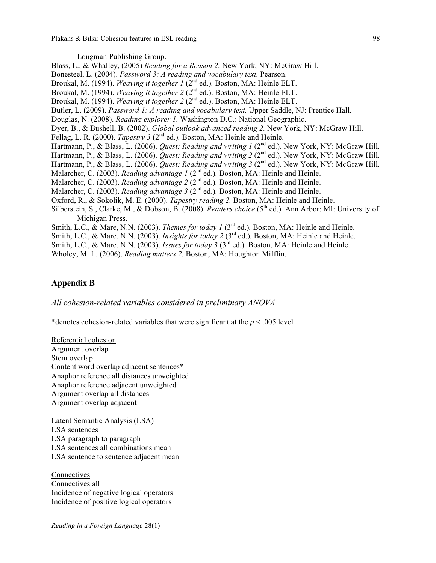Longman Publishing Group.

Blass, L., & Whalley, (2005) *Reading for a Reason 2.* New York, NY: McGraw Hill. Bonesteel, L. (2004). *Password 3: A reading and vocabulary text.* Pearson. Broukal, M. (1994). *Weaving it together 1* (2<sup>nd</sup> ed.). Boston, MA: Heinle ELT. Broukal, M. (1994). *Weaving it together 2* (2nd ed.). Boston, MA: Heinle ELT. Broukal, M. (1994). *Weaving it together 2* (2<sup>nd</sup> ed.). Boston, MA: Heinle ELT. Butler, L. (2009). *Password 1: A reading and vocabulary text.* Upper Saddle, NJ: Prentice Hall. Douglas, N. (2008). *Reading explorer 1.* Washington D.C.: National Geographic. Dyer, B., & Bushell, B. (2002). *Global outlook advanced reading 2.* New York, NY: McGraw Hill. Fellag, L. R. (2000). *Tapestry 3* (2<sup>nd</sup> ed.). Boston, MA: Heinle and Heinle. Hartmann, P., & Blass, L. (2006). *Quest: Reading and writing 1* (2<sup>nd</sup> ed.). New York, NY: McGraw Hill. Hartmann, P., & Blass, L. (2006). *Quest: Reading and writing 2* (2<sup>nd</sup> ed.). New York, NY: McGraw Hill. Hartmann, P., & Blass, L. (2006). *Quest: Reading and writing 3* (2nd ed.)*.* New York, NY: McGraw Hill. Malarcher, C. (2003). *Reading advantage 1* (2<sup>nd</sup> ed.). Boston, MA: Heinle and Heinle. Malarcher, C. (2003). *Reading advantage 2* (2<sup>nd</sup> ed.). Boston, MA: Heinle and Heinle. Malarcher, C. (2003). *Reading advantage 3* (2<sup>nd</sup> ed.). Boston, MA: Heinle and Heinle. Oxford, R., & Sokolik, M. E. (2000). *Tapestry reading 2.* Boston, MA: Heinle and Heinle. Silberstein, S., Clarke, M., & Dobson, B. (2008). *Readers choice* (5<sup>th</sup> ed.). Ann Arbor: MI: University of Michigan Press. Smith, L.C., & Mare, N.N. (2003). *Themes for today 1* (3<sup>rd</sup> ed.). Boston, MA: Heinle and Heinle. Smith, L.C., & Mare, N.N. (2003). *Insights for today 2* (3<sup>rd</sup> ed.). Boston, MA: Heinle and Heinle.

- Smith, L.C., & Mare, N.N. (2003). *Issues for today 3* (3<sup>rd</sup> ed.). Boston, MA: Heinle and Heinle.
- Wholey, M. L. (2006). *Reading matters 2.* Boston, MA: Houghton Mifflin.

### **Appendix B**

*All cohesion-related variables considered in preliminary ANOVA*

\*denotes cohesion-related variables that were significant at the *p* < .005 level

Referential cohesion Argument overlap Stem overlap Content word overlap adjacent sentences\* Anaphor reference all distances unweighted Anaphor reference adjacent unweighted Argument overlap all distances Argument overlap adjacent

Latent Semantic Analysis (LSA) LSA sentences LSA paragraph to paragraph LSA sentences all combinations mean LSA sentence to sentence adjacent mean

**Connectives** Connectives all Incidence of negative logical operators Incidence of positive logical operators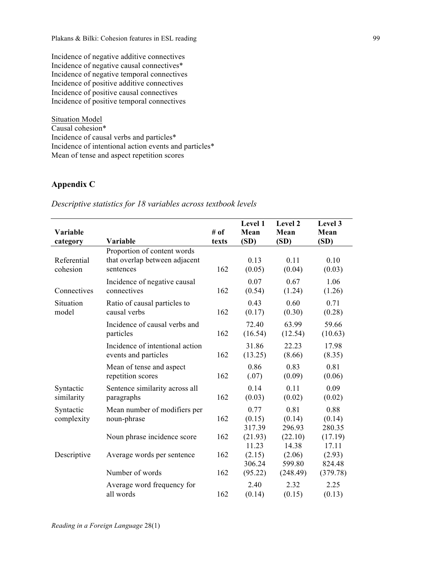Incidence of negative additive connectives Incidence of negative causal connectives\* Incidence of negative temporal connectives Incidence of positive additive connectives Incidence of positive causal connectives Incidence of positive temporal connectives

Situation Model Causal cohesion\* Incidence of causal verbs and particles\* Incidence of intentional action events and particles\* Mean of tense and aspect repetition scores

# **Appendix C**

# *Descriptive statistics for 18 variables across textbook levels*

| Variable<br>category    | Variable                                                                  | # of<br>texts | Level 1<br>Mean<br>(SD)  | Level 2<br>Mean<br>(SD)  | Level 3<br>Mean<br>(SD)  |
|-------------------------|---------------------------------------------------------------------------|---------------|--------------------------|--------------------------|--------------------------|
| Referential<br>cohesion | Proportion of content words<br>that overlap between adjacent<br>sentences | 162           | 0.13<br>(0.05)           | 0.11<br>(0.04)           | 0.10<br>(0.03)           |
| Connectives             | Incidence of negative causal<br>connectives                               | 162           | 0.07<br>(0.54)           | 0.67<br>(1.24)           | 1.06<br>(1.26)           |
| Situation<br>model      | Ratio of causal particles to<br>causal verbs                              | 162           | 0.43<br>(0.17)           | 0.60<br>(0.30)           | 0.71<br>(0.28)           |
|                         | Incidence of causal verbs and<br>particles                                | 162           | 72.40<br>(16.54)         | 63.99<br>(12.54)         | 59.66<br>(10.63)         |
|                         | Incidence of intentional action<br>events and particles                   | 162           | 31.86<br>(13.25)         | 22.23<br>(8.66)          | 17.98<br>(8.35)          |
|                         | Mean of tense and aspect<br>repetition scores                             | 162           | 0.86<br>(.07)            | 0.83<br>(0.09)           | 0.81<br>(0.06)           |
| Syntactic<br>similarity | Sentence similarity across all<br>paragraphs                              | 162           | 0.14<br>(0.03)           | 0.11<br>(0.02)           | 0.09<br>(0.02)           |
| Syntactic<br>complexity | Mean number of modifiers per<br>noun-phrase                               | 162           | 0.77<br>(0.15)<br>317.39 | 0.81<br>(0.14)<br>296.93 | 0.88<br>(0.14)<br>280.35 |
|                         | Noun phrase incidence score                                               | 162           | (21.93)<br>11.23         | (22.10)<br>14.38         | (17.19)<br>17.11         |
| Descriptive             | Average words per sentence                                                | 162           | (2.15)<br>306.24         | (2.06)<br>599.80         | (2.93)<br>824.48         |
|                         | Number of words                                                           | 162           | (95.22)                  | (248.49)                 | (379.78)                 |
|                         | Average word frequency for<br>all words                                   | 162           | 2.40<br>(0.14)           | 2.32<br>(0.15)           | 2.25<br>(0.13)           |